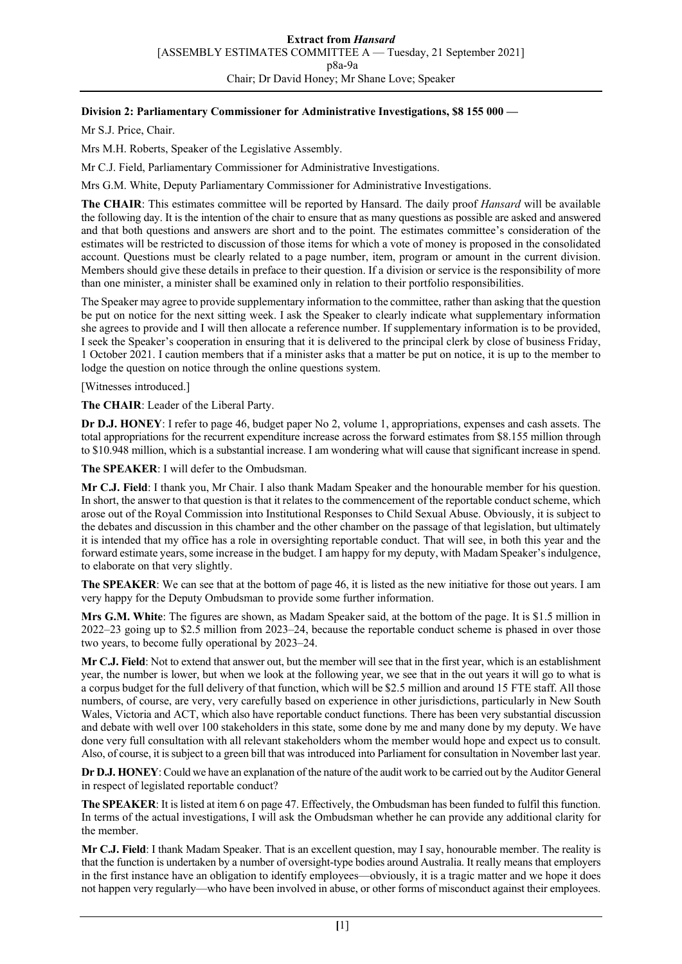## **Division 2: Parliamentary Commissioner for Administrative Investigations, \$8 155 000 —**

Mr S.J. Price, Chair.

Mrs M.H. Roberts, Speaker of the Legislative Assembly.

Mr C.J. Field, Parliamentary Commissioner for Administrative Investigations.

Mrs G.M. White, Deputy Parliamentary Commissioner for Administrative Investigations.

**The CHAIR**: This estimates committee will be reported by Hansard. The daily proof *Hansard* will be available the following day. It is the intention of the chair to ensure that as many questions as possible are asked and answered and that both questions and answers are short and to the point. The estimates committee's consideration of the estimates will be restricted to discussion of those items for which a vote of money is proposed in the consolidated account. Questions must be clearly related to a page number, item, program or amount in the current division. Members should give these details in preface to their question. If a division or service is the responsibility of more than one minister, a minister shall be examined only in relation to their portfolio responsibilities.

The Speaker may agree to provide supplementary information to the committee, rather than asking that the question be put on notice for the next sitting week. I ask the Speaker to clearly indicate what supplementary information she agrees to provide and I will then allocate a reference number. If supplementary information is to be provided, I seek the Speaker's cooperation in ensuring that it is delivered to the principal clerk by close of business Friday, 1 October 2021. I caution members that if a minister asks that a matter be put on notice, it is up to the member to lodge the question on notice through the online questions system.

[Witnesses introduced.]

**The CHAIR**: Leader of the Liberal Party.

**Dr D.J. HONEY**: I refer to page 46, budget paper No 2, volume 1, appropriations, expenses and cash assets. The total appropriations for the recurrent expenditure increase across the forward estimates from \$8.155 million through to \$10.948 million, which is a substantial increase. I am wondering what will cause that significant increase in spend.

**The SPEAKER**: I will defer to the Ombudsman.

**Mr C.J. Field**: I thank you, Mr Chair. I also thank Madam Speaker and the honourable member for his question. In short, the answer to that question is that it relates to the commencement of the reportable conduct scheme, which arose out of the Royal Commission into Institutional Responses to Child Sexual Abuse. Obviously, it is subject to the debates and discussion in this chamber and the other chamber on the passage of that legislation, but ultimately it is intended that my office has a role in oversighting reportable conduct. That will see, in both this year and the forward estimate years, some increase in the budget. I am happy for my deputy, with Madam Speaker's indulgence, to elaborate on that very slightly.

**The SPEAKER**: We can see that at the bottom of page 46, it is listed as the new initiative for those out years. I am very happy for the Deputy Ombudsman to provide some further information.

**Mrs G.M. White**: The figures are shown, as Madam Speaker said, at the bottom of the page. It is \$1.5 million in 2022–23 going up to \$2.5 million from 2023–24, because the reportable conduct scheme is phased in over those two years, to become fully operational by 2023–24.

**Mr C.J. Field**: Not to extend that answer out, but the member will see that in the first year, which is an establishment year, the number is lower, but when we look at the following year, we see that in the out years it will go to what is a corpus budget for the full delivery of that function, which will be \$2.5 million and around 15 FTE staff. All those numbers, of course, are very, very carefully based on experience in other jurisdictions, particularly in New South Wales, Victoria and ACT, which also have reportable conduct functions. There has been very substantial discussion and debate with well over 100 stakeholders in this state, some done by me and many done by my deputy. We have done very full consultation with all relevant stakeholders whom the member would hope and expect us to consult. Also, of course, it is subject to a green bill that was introduced into Parliament for consultation in November last year.

**Dr D.J. HONEY**: Could we have an explanation of the nature of the audit work to be carried out by the Auditor General in respect of legislated reportable conduct?

**The SPEAKER**: It is listed at item 6 on page 47. Effectively, the Ombudsman has been funded to fulfil this function. In terms of the actual investigations, I will ask the Ombudsman whether he can provide any additional clarity for the member.

**Mr C.J. Field**: I thank Madam Speaker. That is an excellent question, may I say, honourable member. The reality is that the function is undertaken by a number of oversight-type bodies around Australia. It really means that employers in the first instance have an obligation to identify employees—obviously, it is a tragic matter and we hope it does not happen very regularly—who have been involved in abuse, or other forms of misconduct against their employees.